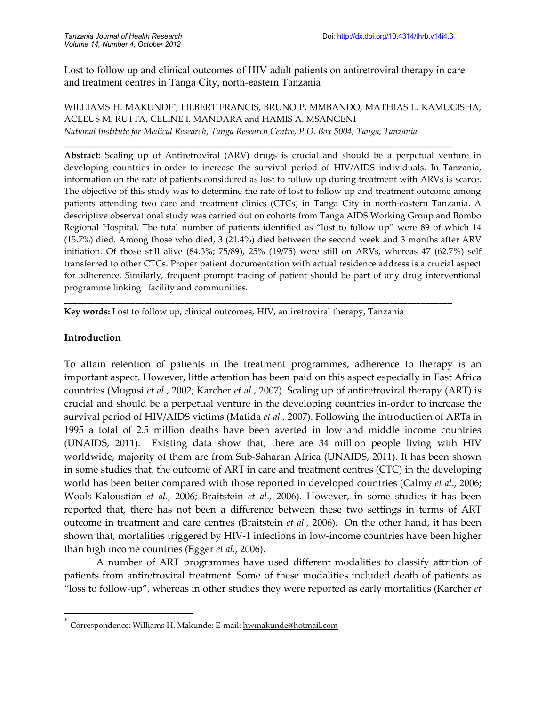Lost to follow up and clinical outcomes of HIV adult patients on antiretroviral therapy in care and treatment centres in Tanga City, north-eastern Tanzania

WILLIAMS H. MAKUNDE\* , FILBERT FRANCIS, BRUNO P. MMBANDO, MATHIAS L. KAMUGISHA, ACLEUS M. RUTTA, CELINE I. MANDARA and HAMIS A. MSANGENI *National Institute for Medical Research, Tanga Research Centre, P.O. Box 5004, Tanga, Tanzania*

**\_\_\_\_\_\_\_\_\_\_\_\_\_\_\_\_\_\_\_\_\_\_\_\_\_\_\_\_\_\_\_\_\_\_\_\_\_\_\_\_\_\_\_\_\_\_\_\_\_\_\_\_\_\_\_\_\_\_\_\_\_\_\_\_\_\_\_\_\_\_\_\_\_\_\_\_\_\_\_\_\_\_\_\_\_\_\_**

**Abstract:** Scaling up of Antiretroviral (ARV) drugs is crucial and should be a perpetual venture in developing countries in-order to increase the survival period of HIV/AIDS individuals. In Tanzania, information on the rate of patients considered as lost to follow up during treatment with ARVs is scarce. The objective of this study was to determine the rate of lost to follow up and treatment outcome among patients attending two care and treatment clinics (CTCs) in Tanga City in north-eastern Tanzania. A descriptive observational study was carried out on cohorts from Tanga AIDS Working Group and Bombo Regional Hospital. The total number of patients identified as "lost to follow up" were 89 of which 14 (15.7%) died. Among those who died, 3 (21.4%) died between the second week and 3 months after ARV initiation. Of those still alive (84.3%; 75/89), 25% (19/75) were still on ARVs, whereas 47 (62.7%) self transferred to other CTCs. Proper patient documentation with actual residence address is a crucial aspect for adherence. Similarly, frequent prompt tracing of patient should be part of any drug interventional programme linking facility and communities.

**Key words:** Lost to follow up, clinical outcomes, HIV, antiretroviral therapy, Tanzania

**\_\_\_\_\_\_\_\_\_\_\_\_\_\_\_\_\_\_\_\_\_\_\_\_\_\_\_\_\_\_\_\_\_\_\_\_\_\_\_\_\_\_\_\_\_\_\_\_\_\_\_\_\_\_\_\_\_\_\_\_\_\_\_\_\_\_\_\_\_\_\_\_\_\_\_\_\_\_\_\_\_\_\_\_\_\_\_**

### **Introduction**

To attain retention of patients in the treatment programmes, adherence to therapy is an important aspect. However, little attention has been paid on this aspect especially in East Africa countries (Mugusi *et al*., 2002; Karcher *et al*., 2007). Scaling up of antiretroviral therapy (ART) is crucial and should be a perpetual venture in the developing countries in-order to increase the survival period of HIV/AIDS victims (Matida *et al.,* 2007). Following the introduction of ARTs in 1995 a total of 2.5 million deaths have been averted in low and middle income countries (UNAIDS, 2011). Existing data show that, there are 34 million people living with HIV worldwide, majority of them are from Sub-Saharan Africa (UNAIDS, 2011). It has been shown in some studies that, the outcome of ART in care and treatment centres (CTC) in the developing world has been better compared with those reported in developed countries (Calmy *et al*., 2006; Wools-Kaloustian *et al.,* 2006; Braitstein *et al.,* 2006). However, in some studies it has been reported that, there has not been a difference between these two settings in terms of ART outcome in treatment and care centres (Braitstein *et al.,* 2006). On the other hand, it has been shown that, mortalities triggered by HIV-1 infections in low-income countries have been higher than high income countries (Egger *et al.*, 2006).

A number of ART programmes have used different modalities to classify attrition of patients from antiretroviral treatment. Some of these modalities included death of patients as "loss to follow-up", whereas in other studies they were reported as early mortalities (Karcher *et*

<sup>\*</sup> Correspondence: Williams H. Makunde; E-mail: hwmakunde@hotmail.com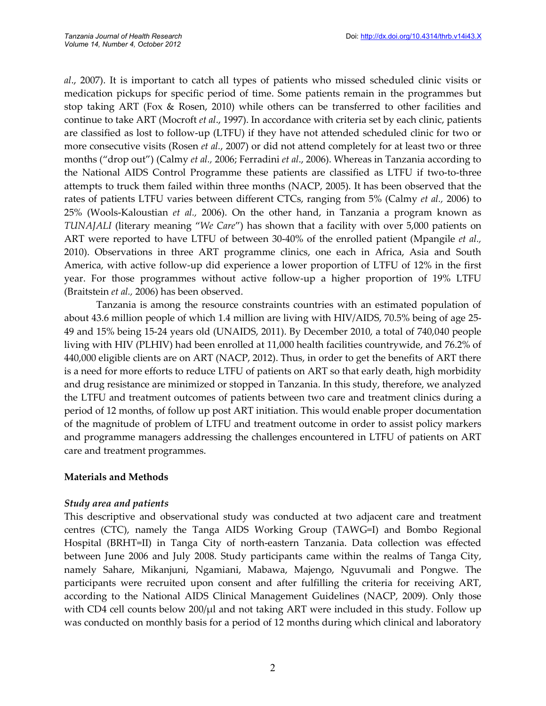*al*., 2007). It is important to catch all types of patients who missed scheduled clinic visits or medication pickups for specific period of time. Some patients remain in the programmes but stop taking ART (Fox & Rosen, 2010) while others can be transferred to other facilities and continue to take ART (Mocroft *et al*., 1997). In accordance with criteria set by each clinic, patients are classified as lost to follow-up (LTFU) if they have not attended scheduled clinic for two or more consecutive visits (Rosen *et al.*, 2007) or did not attend completely for at least two or three months ("drop out") (Calmy *et al.,* 2006; Ferradini *et al*., 2006). Whereas in Tanzania according to the National AIDS Control Programme these patients are classified as LTFU if two-to-three attempts to truck them failed within three months (NACP, 2005). It has been observed that the rates of patients LTFU varies between different CTCs, ranging from 5% (Calmy *et al.,* 2006) to 25% (Wools-Kaloustian *et al.,* 2006). On the other hand, in Tanzania a program known as *TUNAJALI* (literary meaning "*We Care*") has shown that a facility with over 5,000 patients on ART were reported to have LTFU of between 30-40% of the enrolled patient (Mpangile *et al.,* 2010). Observations in three ART programme clinics, one each in Africa, Asia and South America, with active follow-up did experience a lower proportion of LTFU of 12% in the first year. For those programmes without active follow-up a higher proportion of 19% LTFU (Braitstein *et al.,* 2006) has been observed.

Tanzania is among the resource constraints countries with an estimated population of about 43.6 million people of which 1.4 million are living with HIV/AIDS, 70.5% being of age 25- 49 and 15% being 15-24 years old (UNAIDS, 2011). By December 2010, a total of 740,040 people living with HIV (PLHIV) had been enrolled at 11,000 health facilities countrywide, and 76.2% of 440,000 eligible clients are on ART (NACP, 2012). Thus, in order to get the benefits of ART there is a need for more efforts to reduce LTFU of patients on ART so that early death, high morbidity and drug resistance are minimized or stopped in Tanzania. In this study, therefore, we analyzed the LTFU and treatment outcomes of patients between two care and treatment clinics during a period of 12 months, of follow up post ART initiation. This would enable proper documentation of the magnitude of problem of LTFU and treatment outcome in order to assist policy markers and programme managers addressing the challenges encountered in LTFU of patients on ART care and treatment programmes.

# **Materials and Methods**

#### *Study area and patients*

This descriptive and observational study was conducted at two adjacent care and treatment centres (CTC), namely the Tanga AIDS Working Group (TAWG=I) and Bombo Regional Hospital (BRHT=II) in Tanga City of north-eastern Tanzania. Data collection was effected between June 2006 and July 2008. Study participants came within the realms of Tanga City, namely Sahare, Mikanjuni, Ngamiani, Mabawa, Majengo, Nguvumali and Pongwe. The participants were recruited upon consent and after fulfilling the criteria for receiving ART, according to the National AIDS Clinical Management Guidelines (NACP, 2009). Only those with CD4 cell counts below  $200/\mu$ l and not taking ART were included in this study. Follow up was conducted on monthly basis for a period of 12 months during which clinical and laboratory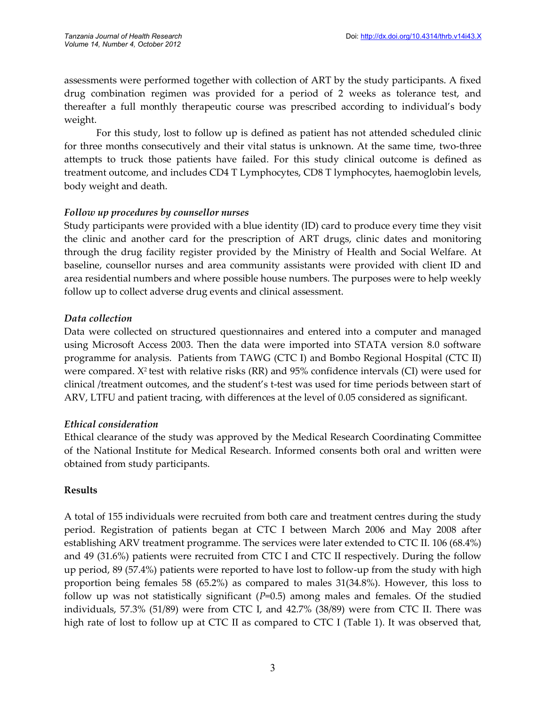assessments were performed together with collection of ART by the study participants. A fixed drug combination regimen was provided for a period of 2 weeks as tolerance test, and thereafter a full monthly therapeutic course was prescribed according to individual's body weight.

For this study, lost to follow up is defined as patient has not attended scheduled clinic for three months consecutively and their vital status is unknown. At the same time, two-three attempts to truck those patients have failed. For this study clinical outcome is defined as treatment outcome, and includes CD4 T Lymphocytes, CD8 T lymphocytes, haemoglobin levels, body weight and death.

# *Follow up procedures by counsellor nurses*

Study participants were provided with a blue identity (ID) card to produce every time they visit the clinic and another card for the prescription of ART drugs, clinic dates and monitoring through the drug facility register provided by the Ministry of Health and Social Welfare. At baseline, counsellor nurses and area community assistants were provided with client ID and area residential numbers and where possible house numbers. The purposes were to help weekly follow up to collect adverse drug events and clinical assessment.

# *Data collection*

Data were collected on structured questionnaires and entered into a computer and managed using Microsoft Access 2003. Then the data were imported into STATA version 8.0 software programme for analysis. Patients from TAWG (CTC I) and Bombo Regional Hospital (CTC II) were compared. X<sup>2</sup> test with relative risks (RR) and 95% confidence intervals (CI) were used for clinical /treatment outcomes, and the student's t-test was used for time periods between start of ARV, LTFU and patient tracing, with differences at the level of 0.05 considered as significant.

# *Ethical consideration*

Ethical clearance of the study was approved by the Medical Research Coordinating Committee of the National Institute for Medical Research. Informed consents both oral and written were obtained from study participants.

# **Results**

A total of 155 individuals were recruited from both care and treatment centres during the study period. Registration of patients began at CTC I between March 2006 and May 2008 after establishing ARV treatment programme. The services were later extended to CTC II. 106 (68.4%) and 49 (31.6%) patients were recruited from CTC I and CTC II respectively. During the follow up period, 89 (57.4%) patients were reported to have lost to follow-up from the study with high proportion being females 58 (65.2%) as compared to males 31(34.8%). However, this loss to follow up was not statistically significant (*P*=0.5) among males and females. Of the studied individuals, 57.3% (51/89) were from CTC I, and 42.7% (38/89) were from CTC II. There was high rate of lost to follow up at CTC II as compared to CTC I (Table 1). It was observed that,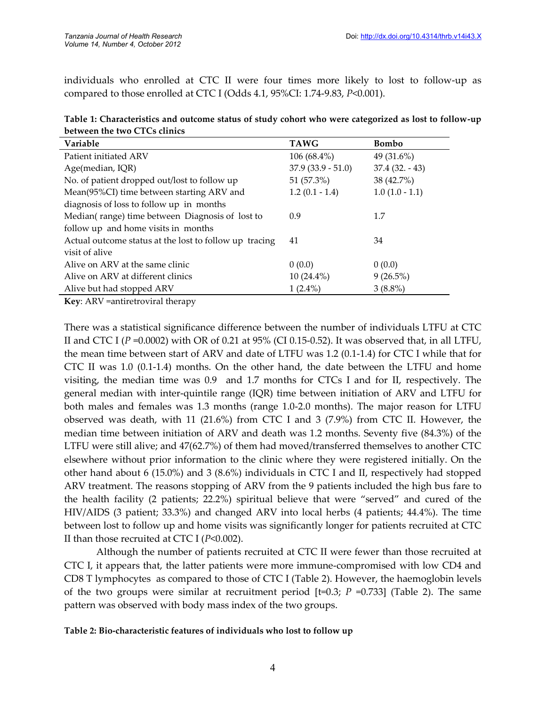individuals who enrolled at CTC II were four times more likely to lost to follow-up as compared to those enrolled at CTC I (Odds 4.1, 95%CI: 1.74-9.83, *P*<0.001).

| Table 1: Characteristics and outcome status of study cohort who were categorized as lost to follow-up |  |  |
|-------------------------------------------------------------------------------------------------------|--|--|
| between the two CTCs clinics                                                                          |  |  |

| Variable                                               | <b>TAWG</b>         | <b>Bombo</b>     |
|--------------------------------------------------------|---------------------|------------------|
| Patient initiated ARV                                  | $106(68.4\%)$       | 49 $(31.6\%)$    |
| Age(median, IQR)                                       | $37.9(33.9 - 51.0)$ | $37.4(32. - 43)$ |
| No. of patient dropped out/lost to follow up           | 51 (57.3%)          | 38 (42.7%)       |
| Mean(95%CI) time between starting ARV and              | $1.2(0.1 - 1.4)$    | $1.0(1.0 - 1.1)$ |
| diagnosis of loss to follow up in months               |                     |                  |
| Median(range) time between Diagnosis of lost to        | 0.9                 | 1.7              |
| follow up and home visits in months                    |                     |                  |
| Actual outcome status at the lost to follow up tracing | 41                  | 34               |
| visit of alive                                         |                     |                  |
| Alive on ARV at the same clinic                        | 0(0.0)              | 0(0.0)           |
| Alive on ARV at different clinics                      | $10(24.4\%)$        | $9(26.5\%)$      |
| Alive but had stopped ARV                              | $1(2.4\%)$          | $3(8.8\%)$       |

**Key**: ARV =antiretroviral therapy

There was a statistical significance difference between the number of individuals LTFU at CTC II and CTC I ( $P = 0.0002$ ) with OR of 0.21 at 95% (CI 0.15-0.52). It was observed that, in all LTFU, the mean time between start of ARV and date of LTFU was 1.2 (0.1-1.4) for CTC I while that for CTC II was 1.0 (0.1-1.4) months. On the other hand, the date between the LTFU and home visiting, the median time was 0.9 and 1.7 months for CTCs I and for II, respectively. The general median with inter-quintile range (IQR) time between initiation of ARV and LTFU for both males and females was 1.3 months (range 1.0-2.0 months). The major reason for LTFU observed was death, with 11 (21.6%) from CTC I and 3 (7.9%) from CTC II. However, the median time between initiation of ARV and death was 1.2 months. Seventy five (84.3%) of the LTFU were still alive; and 47(62.7%) of them had moved/transferred themselves to another CTC elsewhere without prior information to the clinic where they were registered initially. On the other hand about 6 (15.0%) and 3 (8.6%) individuals in CTC I and II, respectively had stopped ARV treatment. The reasons stopping of ARV from the 9 patients included the high bus fare to the health facility (2 patients; 22.2%) spiritual believe that were "served" and cured of the HIV/AIDS (3 patient; 33.3%) and changed ARV into local herbs (4 patients; 44.4%). The time between lost to follow up and home visits was significantly longer for patients recruited at CTC II than those recruited at CTC I (*P*<0.002).

Although the number of patients recruited at CTC II were fewer than those recruited at CTC I, it appears that, the latter patients were more immune-compromised with low CD4 and CD8 T lymphocytes as compared to those of CTC I (Table 2). However, the haemoglobin levels of the two groups were similar at recruitment period [t=0.3; *P* =0.733] (Table 2). The same pattern was observed with body mass index of the two groups.

#### **Table 2: Bio-characteristic features of individuals who lost to follow up**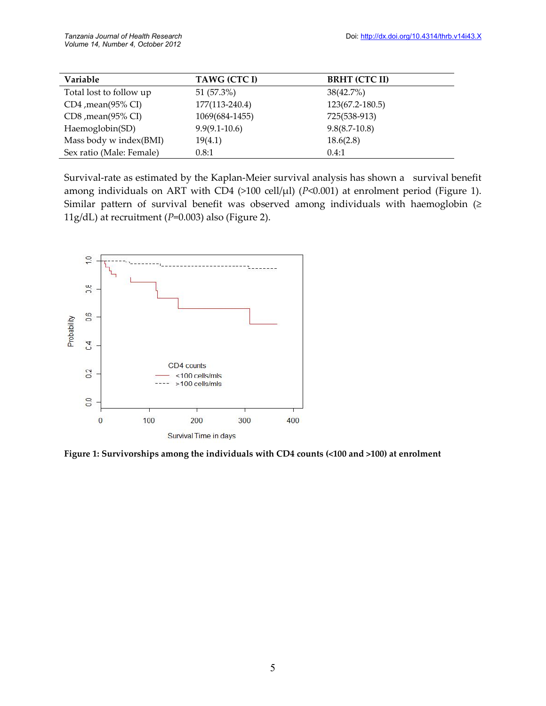| Variable                 | TAWG (CTC I)      | <b>BRHT (CTC II)</b> |
|--------------------------|-------------------|----------------------|
| Total lost to follow up  | 51 (57.3%)        | $38(42.7\%)$         |
| $CD4$ , mean $(95\%$ CI) | 177(113-240.4)    | 123(67.2-180.5)      |
| $CD8$ , mean $(95\%$ CI) | 1069(684-1455)    | 725(538-913)         |
| Haemoglobin(SD)          | $9.9(9.1 - 10.6)$ | $9.8(8.7-10.8)$      |
| Mass body w index(BMI)   | 19(4.1)           | 18.6(2.8)            |
| Sex ratio (Male: Female) | 0.8:1             | 0.4:1                |

Survival-rate as estimated by the Kaplan-Meier survival analysis has shown a survival benefit among individuals on ART with CD4 (>100 cell/µl) (*P*<0.001) at enrolment period (Figure 1). Similar pattern of survival benefit was observed among individuals with haemoglobin (≥ 11g/dL) at recruitment (*P*=0.003) also (Figure 2).



**Figure 1: Survivorships among the individuals with CD4 counts (<100 and >100) at enrolment**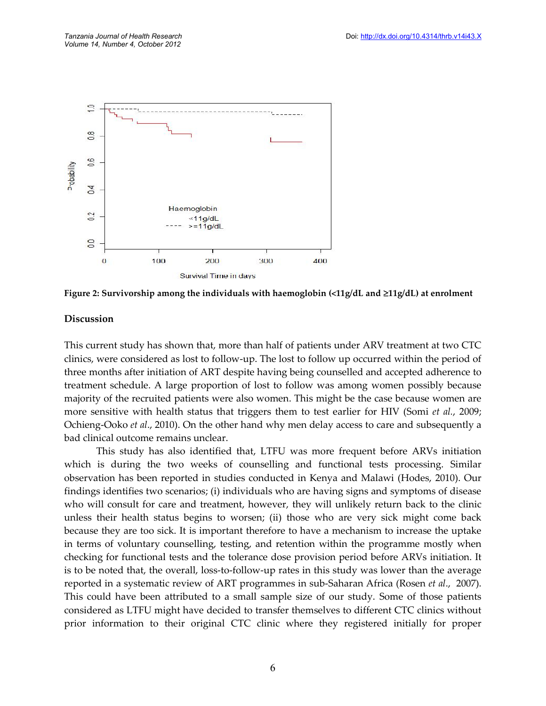

**Figure 2: Survivorship among the individuals with haemoglobin (<11g/dL and 11g/dL) at enrolment**

#### **Discussion**

This current study has shown that, more than half of patients under ARV treatment at two CTC clinics, were considered as lost to follow-up. The lost to follow up occurred within the period of three months after initiation of ART despite having being counselled and accepted adherence to treatment schedule. A large proportion of lost to follow was among women possibly because majority of the recruited patients were also women. This might be the case because women are more sensitive with health status that triggers them to test earlier for HIV (Somi *et al.*, 2009; Ochieng-Ooko *et al*., 2010). On the other hand why men delay access to care and subsequently a bad clinical outcome remains unclear.

This study has also identified that, LTFU was more frequent before ARVs initiation which is during the two weeks of counselling and functional tests processing. Similar observation has been reported in studies conducted in Kenya and Malawi (Hodes, 2010). Our findings identifies two scenarios; (i) individuals who are having signs and symptoms of disease who will consult for care and treatment, however, they will unlikely return back to the clinic unless their health status begins to worsen; (ii) those who are very sick might come back because they are too sick. It is important therefore to have a mechanism to increase the uptake in terms of voluntary counselling, testing, and retention within the programme mostly when checking for functional tests and the tolerance dose provision period before ARVs initiation. It is to be noted that, the overall, loss-to-follow-up rates in this study was lower than the average reported in a systematic review of ART programmes in sub-Saharan Africa (Rosen *et al*., 2007). This could have been attributed to a small sample size of our study. Some of those patients considered as LTFU might have decided to transfer themselves to different CTC clinics without prior information to their original CTC clinic where they registered initially for proper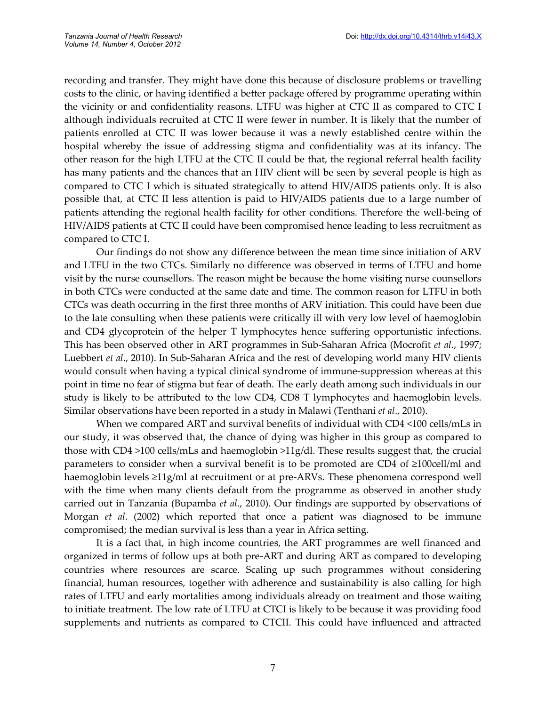recording and transfer. They might have done this because of disclosure problems or travelling costs to the clinic, or having identified a better package offered by programme operating within the vicinity or and confidentiality reasons. LTFU was higher at CTC II as compared to CTC I although individuals recruited at CTC II were fewer in number. It is likely that the number of patients enrolled at CTC II was lower because it was a newly established centre within the hospital whereby the issue of addressing stigma and confidentiality was at its infancy. The other reason for the high LTFU at the CTC II could be that, the regional referral health facility has many patients and the chances that an HIV client will be seen by several people is high as compared to CTC I which is situated strategically to attend HIV/AIDS patients only. It is also possible that, at CTC II less attention is paid to HIV/AIDS patients due to a large number of patients attending the regional health facility for other conditions. Therefore the well-being of HIV/AIDS patients at CTC II could have been compromised hence leading to less recruitment as compared to CTC I.

Our findings do not show any difference between the mean time since initiation of ARV and LTFU in the two CTCs. Similarly no difference was observed in terms of LTFU and home visit by the nurse counsellors. The reason might be because the home visiting nurse counsellors in both CTCs were conducted at the same date and time. The common reason for LTFU in both CTCs was death occurring in the first three months of ARV initiation. This could have been due to the late consulting when these patients were critically ill with very low level of haemoglobin and CD4 glycoprotein of the helper T lymphocytes hence suffering opportunistic infections. This has been observed other in ART programmes in Sub-Saharan Africa (Mocrofit *et al*., 1997; Luebbert *et al*., 2010). In Sub-Saharan Africa and the rest of developing world many HIV clients would consult when having a typical clinical syndrome of immune-suppression whereas at this point in time no fear of stigma but fear of death. The early death among such individuals in our study is likely to be attributed to the low CD4, CD8 T lymphocytes and haemoglobin levels. Similar observations have been reported in a study in Malawi (Tenthani *et al*., 2010).

When we compared ART and survival benefits of individual with CD4 <100 cells/mLs in our study, it was observed that, the chance of dying was higher in this group as compared to those with CD4 >100 cells/mLs and haemoglobin >11g/dl. These results suggest that, the crucial parameters to consider when a survival benefit is to be promoted are CD4 of ≥100cell/ml and haemoglobin levels ≥11g/ml at recruitment or at pre-ARVs. These phenomena correspond well with the time when many clients default from the programme as observed in another study carried out in Tanzania (Bupamba *et al*., 2010). Our findings are supported by observations of Morgan *et al*. (2002) which reported that once a patient was diagnosed to be immune compromised; the median survival is less than a year in Africa setting.

It is a fact that, in high income countries, the ART programmes are well financed and organized in terms of follow ups at both pre-ART and during ART as compared to developing countries where resources are scarce. Scaling up such programmes without considering financial, human resources, together with adherence and sustainability is also calling for high rates of LTFU and early mortalities among individuals already on treatment and those waiting to initiate treatment. The low rate of LTFU at CTCI is likely to be because it was providing food supplements and nutrients as compared to CTCII. This could have influenced and attracted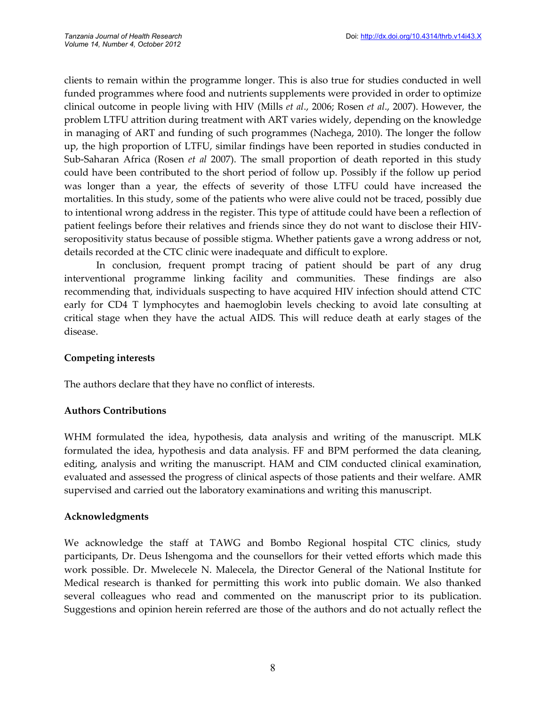clients to remain within the programme longer. This is also true for studies conducted in well funded programmes where food and nutrients supplements were provided in order to optimize clinical outcome in people living with HIV (Mills *et al*., 2006; Rosen *et al*., 2007). However, the problem LTFU attrition during treatment with ART varies widely, depending on the knowledge in managing of ART and funding of such programmes (Nachega, 2010). The longer the follow up, the high proportion of LTFU, similar findings have been reported in studies conducted in Sub-Saharan Africa (Rosen *et al* 2007). The small proportion of death reported in this study could have been contributed to the short period of follow up. Possibly if the follow up period was longer than a year, the effects of severity of those LTFU could have increased the mortalities. In this study, some of the patients who were alive could not be traced, possibly due to intentional wrong address in the register. This type of attitude could have been a reflection of patient feelings before their relatives and friends since they do not want to disclose their HIVseropositivity status because of possible stigma. Whether patients gave a wrong address or not, details recorded at the CTC clinic were inadequate and difficult to explore.

In conclusion, frequent prompt tracing of patient should be part of any drug interventional programme linking facility and communities. These findings are also recommending that, individuals suspecting to have acquired HIV infection should attend CTC early for CD4 T lymphocytes and haemoglobin levels checking to avoid late consulting at critical stage when they have the actual AIDS. This will reduce death at early stages of the disease.

# **Competing interests**

The authors declare that they have no conflict of interests.

# **Authors Contributions**

WHM formulated the idea, hypothesis, data analysis and writing of the manuscript. MLK formulated the idea, hypothesis and data analysis. FF and BPM performed the data cleaning, editing, analysis and writing the manuscript. HAM and CIM conducted clinical examination, evaluated and assessed the progress of clinical aspects of those patients and their welfare. AMR supervised and carried out the laboratory examinations and writing this manuscript.

# **Acknowledgments**

We acknowledge the staff at TAWG and Bombo Regional hospital CTC clinics, study participants, Dr. Deus Ishengoma and the counsellors for their vetted efforts which made this work possible. Dr. Mwelecele N. Malecela, the Director General of the National Institute for Medical research is thanked for permitting this work into public domain. We also thanked several colleagues who read and commented on the manuscript prior to its publication. Suggestions and opinion herein referred are those of the authors and do not actually reflect the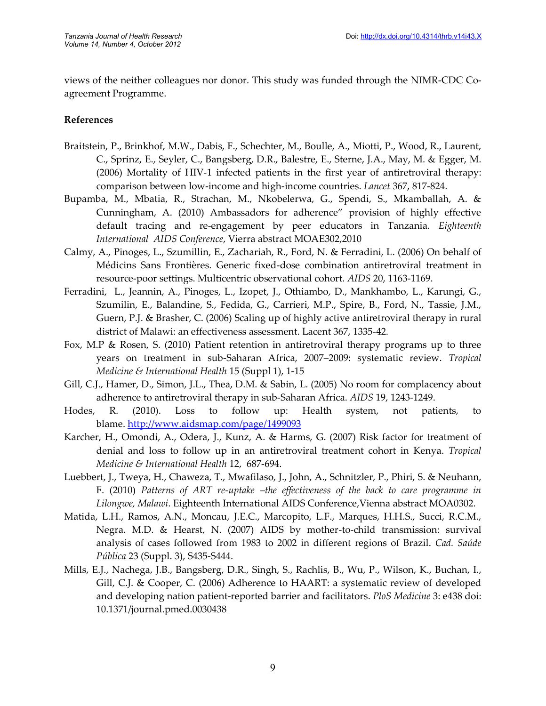views of the neither colleagues nor donor. This study was funded through the NIMR-CDC Coagreement Programme.

### **References**

- Braitstein, P., Brinkhof, M.W., Dabis, F., Schechter, M., Boulle, A., Miotti, P., Wood, R., Laurent, C., Sprinz, E., Seyler, C., Bangsberg, D.R., Balestre, E., Sterne, J.A., May, M. & Egger, M. (2006) Mortality of HIV-1 infected patients in the first year of antiretroviral therapy: comparison between low-income and high-income countries. *Lancet* 367, 817-824.
- Bupamba, M., Mbatia, R., Strachan, M., Nkobelerwa, G., Spendi, S., Mkamballah, A. & Cunningham, A. (2010) Ambassadors for adherence" provision of highly effective default tracing and re-engagement by peer educators in Tanzania. *Eighteenth International AIDS Conference*, Vierra abstract MOAE302,2010
- Calmy, A., Pinoges, L., Szumillin, E., Zachariah, R., Ford, N. & Ferradini, L. (2006) On behalf of Médicins Sans Frontières. Generic fixed-dose combination antiretroviral treatment in resource-poor settings. Multicentric observational cohort. *AIDS* 20, 1163-1169.
- Ferradini, L., Jeannin, A., Pinoges, L., Izopet, J., Othiambo, D., Mankhambo, L., Karungi, G., Szumilin, E., Balandine, S., Fedida, G., Carrieri, M.P., Spire, B., Ford, N., Tassie, J.M., Guern, P.J. & Brasher, C. (2006) Scaling up of highly active antiretroviral therapy in rural district of Malawi: an effectiveness assessment. Lacent 367, 1335-42.
- Fox, M.P & Rosen, S. (2010) Patient retention in antiretroviral therapy programs up to three years on treatment in sub-Saharan Africa, 2007–2009: systematic review. *Tropical Medicine & International Health* 15 (Suppl 1), 1-15
- Gill, C.J., Hamer, D., Simon, J.L., Thea, D.M. & Sabin, L. (2005) No room for complacency about adherence to antiretroviral therapy in sub-Saharan Africa. *AIDS* 19, 1243-1249.
- Hodes, R. (2010). Loss to follow up: Health system, not patients, to blame. http://www.aidsmap.com/page/1499093
- Karcher, H., Omondi, A., Odera, J., Kunz, A. & Harms, G. (2007) Risk factor for treatment of denial and loss to follow up in an antiretroviral treatment cohort in Kenya. *Tropical Medicine & International Health* 12, 687-694.
- Luebbert, J., Tweya, H., Chaweza, T., Mwafilaso, J., John, A., Schnitzler, P., Phiri, S. & Neuhann, F. (2010) *Patterns of ART re-uptake –the effectiveness of the back to care programme in Lilongwe, Malawi*. Eighteenth International AIDS Conference,Vienna abstract MOA0302.
- Matida, L.H., Ramos, A.N., Moncau, J.E.C., Marcopito, L.F., Marques, H.H.S., Succi, R.C.M., Negra. M.D. & Hearst, N. (2007) AIDS by mother-to-child transmission: survival analysis of cases followed from 1983 to 2002 in different regions of Brazil. *Cad. Saúde Pública* 23 (Suppl. 3), S435-S444.
- Mills, E.J., Nachega, J.B., Bangsberg, D.R., Singh, S., Rachlis, B., Wu, P., Wilson, K., Buchan, I., Gill, C.J. & Cooper, C. (2006) Adherence to HAART: a systematic review of developed and developing nation patient-reported barrier and facilitators. *PloS Medicine* 3: e438 doi: 10.1371/journal.pmed.0030438